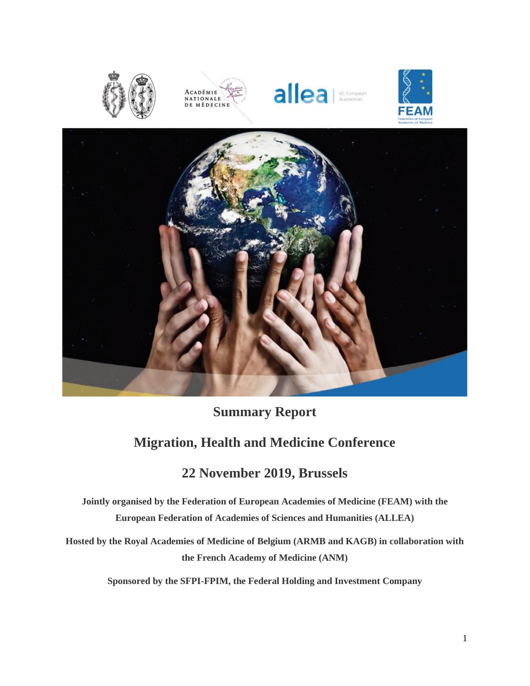









# **Summary Report**

# **Migration, Health and Medicine Conference**

# **22 November 2019, Brussels**

**Jointly organised by the Federation of European Academies of Medicine (FEAM) with the European Federation of Academies of Sciences and Humanities (ALLEA)**

**Hosted by the Royal Academies of Medicine of Belgium (ARMB and KAGB) in collaboration with the French Academy of Medicine (ANM)**

**Sponsored by the SFPI-FPIM, the Federal Holding and Investment Company**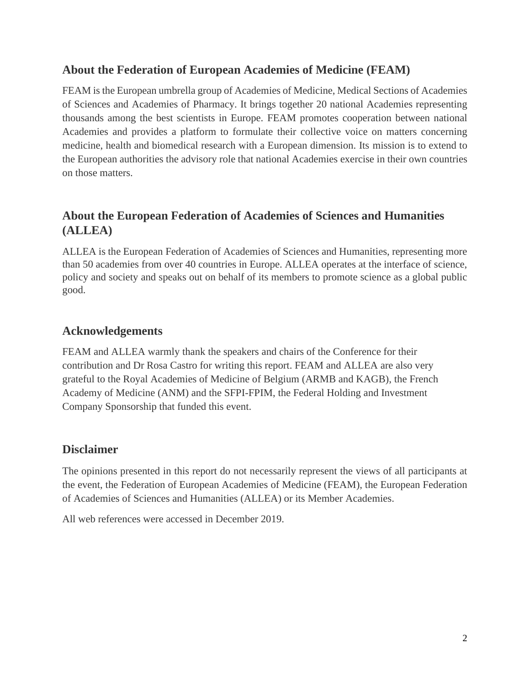### **About the Federation of European Academies of Medicine (FEAM)**

FEAM is the European umbrella group of Academies of Medicine, Medical Sections of Academies of Sciences and Academies of Pharmacy. It brings together 20 national Academies representing thousands among the best scientists in Europe. FEAM promotes cooperation between national Academies and provides a platform to formulate their collective voice on matters concerning medicine, health and biomedical research with a European dimension. Its mission is to extend to the European authorities the advisory role that national Academies exercise in their own countries on those matters.

## **About the European Federation of Academies of Sciences and Humanities (ALLEA)**

ALLEA is the European Federation of Academies of Sciences and Humanities, representing more than 50 academies from over 40 countries in Europe. ALLEA operates at the interface of science, policy and society and speaks out on behalf of its members to promote science as a global public good.

### **Acknowledgements**

FEAM and ALLEA warmly thank the speakers and chairs of the Conference for their contribution and Dr Rosa Castro for writing this report. FEAM and ALLEA are also very grateful to the Royal Academies of Medicine of Belgium (ARMB and KAGB), the French Academy of Medicine (ANM) and the SFPI-FPIM, the Federal Holding and Investment Company Sponsorship that funded this event.

### **Disclaimer**

The opinions presented in this report do not necessarily represent the views of all participants at the event, the Federation of European Academies of Medicine (FEAM), the European Federation of Academies of Sciences and Humanities (ALLEA) or its Member Academies.

All web references were accessed in December 2019.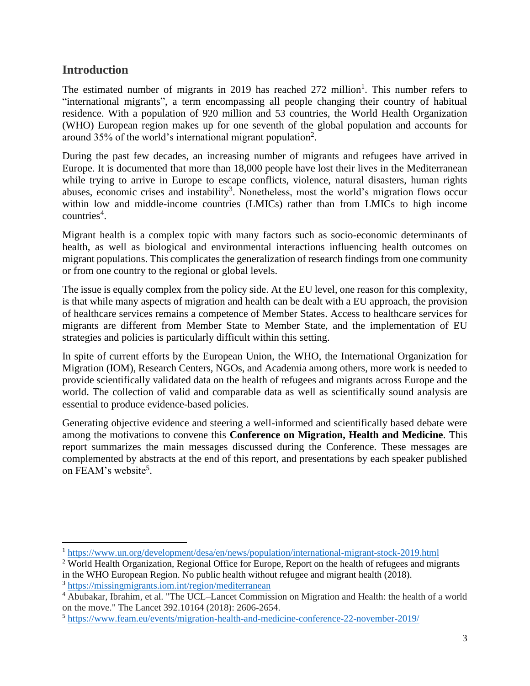### **Introduction**

The estimated number of migrants in 2019 has reached  $272$  million<sup>1</sup>. This number refers to "international migrants", a term encompassing all people changing their country of habitual residence. With a population of 920 million and 53 countries, the World Health Organization (WHO) European region makes up for one seventh of the global population and accounts for around 35% of the world's international migrant population<sup>2</sup>.

During the past few decades, an increasing number of migrants and refugees have arrived in Europe. It is documented that more than 18,000 people have lost their lives in the Mediterranean while trying to arrive in Europe to escape conflicts, violence, natural disasters, human rights abuses, economic crises and instability<sup>3</sup>. Nonetheless, most the world's migration flows occur within low and middle-income countries (LMICs) rather than from LMICs to high income countries<sup>4</sup>.

Migrant health is a complex topic with many factors such as socio-economic determinants of health, as well as biological and environmental interactions influencing health outcomes on migrant populations. This complicates the generalization of research findings from one community or from one country to the regional or global levels.

The issue is equally complex from the policy side. At the EU level, one reason for this complexity, is that while many aspects of migration and health can be dealt with a EU approach, the provision of healthcare services remains a competence of Member States. Access to healthcare services for migrants are different from Member State to Member State, and the implementation of EU strategies and policies is particularly difficult within this setting.

In spite of current efforts by the European Union, the WHO, the International Organization for Migration (IOM), Research Centers, NGOs, and Academia among others, more work is needed to provide scientifically validated data on the health of refugees and migrants across Europe and the world. The collection of valid and comparable data as well as scientifically sound analysis are essential to produce evidence-based policies.

Generating objective evidence and steering a well-informed and scientifically based debate were among the motivations to convene this **Conference on Migration, Health and Medicine**. This report summarizes the main messages discussed during the Conference. These messages are complemented by abstracts at the end of this report, and presentations by each speaker published on FEAM's website<sup>5</sup>.

<sup>1</sup> <https://www.un.org/development/desa/en/news/population/international-migrant-stock-2019.html>

<sup>2</sup> World Health Organization, Regional Office for Europe, Report on the health of refugees and migrants in the WHO European Region. No public health without refugee and migrant health (2018).

<sup>3</sup> <https://missingmigrants.iom.int/region/mediterranean>

<sup>4</sup> Abubakar, Ibrahim, et al. "The UCL–Lancet Commission on Migration and Health: the health of a world on the move." The Lancet 392.10164 (2018): 2606-2654.

<sup>5</sup> <https://www.feam.eu/events/migration-health-and-medicine-conference-22-november-2019/>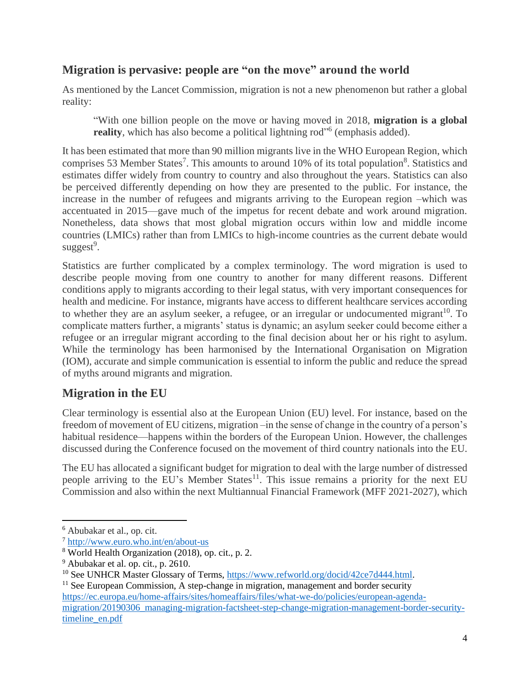### **Migration is pervasive: people are "on the move" around the world**

As mentioned by the Lancet Commission, migration is not a new phenomenon but rather a global reality:

"With one billion people on the move or having moved in 2018, **migration is a global**  reality, which has also become a political lightning rod"<sup>6</sup> (emphasis added).

It has been estimated that more than 90 million migrants live in the WHO European Region, which comprises 53 Member States<sup>7</sup>. This amounts to around 10% of its total population<sup>8</sup>. Statistics and estimates differ widely from country to country and also throughout the years. Statistics can also be perceived differently depending on how they are presented to the public. For instance, the increase in the number of refugees and migrants arriving to the European region –which was accentuated in 2015—gave much of the impetus for recent debate and work around migration. Nonetheless, data shows that most global migration occurs within low and middle income countries (LMICs) rather than from LMICs to high-income countries as the current debate would suggest<sup>9</sup>.

Statistics are further complicated by a complex terminology. The word migration is used to describe people moving from one country to another for many different reasons. Different conditions apply to migrants according to their legal status, with very important consequences for health and medicine. For instance, migrants have access to different healthcare services according to whether they are an asylum seeker, a refugee, or an irregular or undocumented migrant<sup>10</sup>. To complicate matters further, a migrants' status is dynamic; an asylum seeker could become either a refugee or an irregular migrant according to the final decision about her or his right to asylum. While the terminology has been harmonised by the International Organisation on Migration (IOM), accurate and simple communication is essential to inform the public and reduce the spread of myths around migrants and migration.

### **Migration in the EU**

Clear terminology is essential also at the European Union (EU) level. For instance, based on the freedom of movement of EU citizens, migration –in the sense of change in the country of a person's habitual residence—happens within the borders of the European Union. However, the challenges discussed during the Conference focused on the movement of third country nationals into the EU.

The EU has allocated a significant budget for migration to deal with the large number of distressed people arriving to the EU's Member States<sup>11</sup>. This issue remains a priority for the next EU Commission and also within the next Multiannual Financial Framework (MFF 2021-2027), which

<sup>6</sup> Abubakar et al., op. cit.

<sup>7</sup> <http://www.euro.who.int/en/about-us>

<sup>8</sup> World Health Organization (2018), op. cit., p. 2.

<sup>9</sup> Abubakar et al. op. cit., p. 2610.

<sup>&</sup>lt;sup>10</sup> See UNHCR Master Glossary of Terms, [https://www.refworld.org/docid/42ce7d444.html.](https://www.refworld.org/docid/42ce7d444.html)

 $<sup>11</sup>$  See European Commission, A step-change in migration, management and border security</sup> [https://ec.europa.eu/home-affairs/sites/homeaffairs/files/what-we-do/policies/european-agenda](https://ec.europa.eu/home-affairs/sites/homeaffairs/files/what-we-do/policies/european-agenda-migration/20190306_managing-migration-factsheet-step-change-migration-management-border-security-timeline_en.pdf)[migration/20190306\\_managing-migration-factsheet-step-change-migration-management-border-security](https://ec.europa.eu/home-affairs/sites/homeaffairs/files/what-we-do/policies/european-agenda-migration/20190306_managing-migration-factsheet-step-change-migration-management-border-security-timeline_en.pdf)[timeline\\_en.pdf](https://ec.europa.eu/home-affairs/sites/homeaffairs/files/what-we-do/policies/european-agenda-migration/20190306_managing-migration-factsheet-step-change-migration-management-border-security-timeline_en.pdf)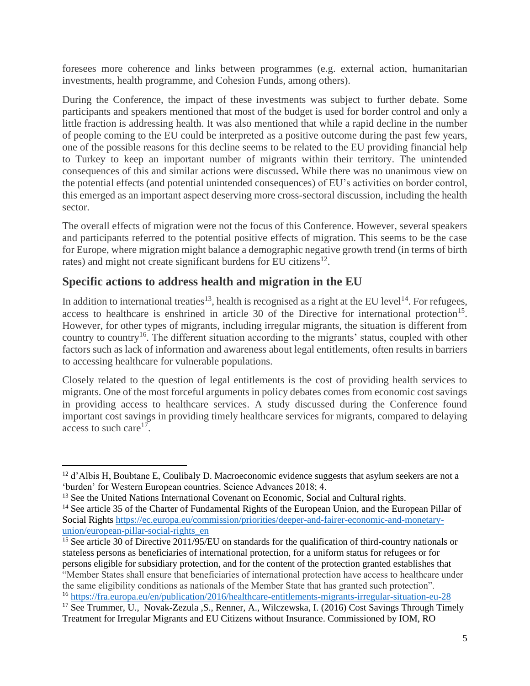foresees more coherence and links between programmes (e.g. external action, humanitarian investments, health programme, and Cohesion Funds, among others).

During the Conference, the impact of these investments was subject to further debate. Some participants and speakers mentioned that most of the budget is used for border control and only a little fraction is addressing health. It was also mentioned that while a rapid decline in the number of people coming to the EU could be interpreted as a positive outcome during the past few years, one of the possible reasons for this decline seems to be related to the EU providing financial help to Turkey to keep an important number of migrants within their territory. The unintended consequences of this and similar actions were discussed**.** While there was no unanimous view on the potential effects (and potential unintended consequences) of EU's activities on border control, this emerged as an important aspect deserving more cross-sectoral discussion, including the health sector.

The overall effects of migration were not the focus of this Conference. However, several speakers and participants referred to the potential positive effects of migration. This seems to be the case for Europe, where migration might balance a demographic negative growth trend (in terms of birth rates) and might not create significant burdens for EU citizens $^{12}$ .

### **Specific actions to address health and migration in the EU**

In addition to international treaties<sup>13</sup>, health is recognised as a right at the EU level<sup>14</sup>. For refugees, access to healthcare is enshrined in article 30 of the Directive for international protection<sup>15</sup>. However, for other types of migrants, including irregular migrants, the situation is different from country to country<sup>16</sup>. The different situation according to the migrants' status, coupled with other factors such as lack of information and awareness about legal entitlements, often results in barriers to accessing healthcare for vulnerable populations.

Closely related to the question of legal entitlements is the cost of providing health services to migrants. One of the most forceful arguments in policy debates comes from economic cost savings in providing access to healthcare services. A study discussed during the Conference found important cost savings in providing timely healthcare services for migrants, compared to delaying access to such care<sup>17</sup>.

<sup>&</sup>lt;sup>12</sup> d'Albis H, Boubtane E, Coulibaly D. Macroeconomic evidence suggests that asylum seekers are not a 'burden' for Western European countries. Science Advances 2018; 4.

<sup>&</sup>lt;sup>13</sup> See the United Nations International Covenant on Economic, Social and Cultural rights.

<sup>&</sup>lt;sup>14</sup> See article 35 of the Charter of Fundamental Rights of the European Union, and the European Pillar of Social Right[s https://ec.europa.eu/commission/priorities/deeper-and-fairer-economic-and-monetary](https://ec.europa.eu/commission/priorities/deeper-and-fairer-economic-and-monetary-union/european-pillar-social-rights_en)[union/european-pillar-social-rights\\_en](https://ec.europa.eu/commission/priorities/deeper-and-fairer-economic-and-monetary-union/european-pillar-social-rights_en)

<sup>&</sup>lt;sup>15</sup> See article 30 of Directive 2011/95/EU on standards for the qualification of third-country nationals or stateless persons as beneficiaries of international protection, for a uniform status for refugees or for persons eligible for subsidiary protection, and for the content of the protection granted establishes that "Member States shall ensure that beneficiaries of international protection have access to healthcare under the same eligibility conditions as nationals of the Member State that has granted such protection". <sup>16</sup> <https://fra.europa.eu/en/publication/2016/healthcare-entitlements-migrants-irregular-situation-eu-28>

<sup>&</sup>lt;sup>17</sup> See Trummer, U., Novak-Zezula ,S., Renner, A., Wilczewska, I. (2016) Cost Savings Through Timely Treatment for Irregular Migrants and EU Citizens without Insurance. Commissioned by IOM, RO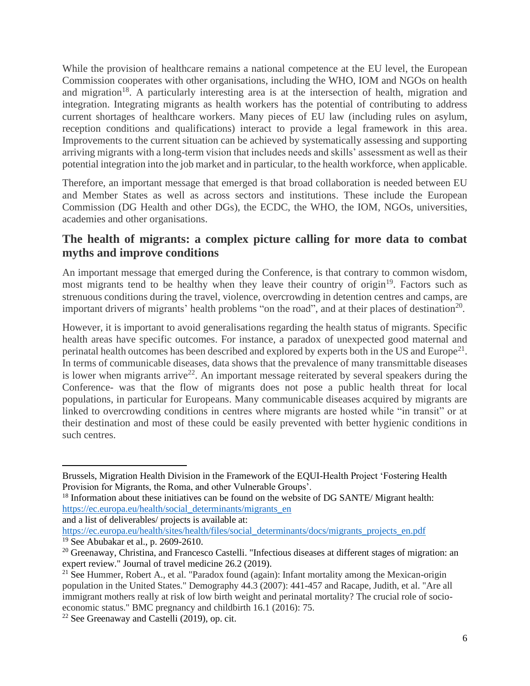While the provision of healthcare remains a national competence at the EU level, the European Commission cooperates with other organisations, including the WHO, IOM and NGOs on health and migration<sup>18</sup>. A particularly interesting area is at the intersection of health, migration and integration. Integrating migrants as health workers has the potential of contributing to address current shortages of healthcare workers. Many pieces of EU law (including rules on asylum, reception conditions and qualifications) interact to provide a legal framework in this area. Improvements to the current situation can be achieved by systematically assessing and supporting arriving migrants with a long-term vision that includes needs and skills' assessment as well as their potential integration into the job market and in particular, to the health workforce, when applicable.

Therefore, an important message that emerged is that broad collaboration is needed between EU and Member States as well as across sectors and institutions. These include the European Commission (DG Health and other DGs), the ECDC, the WHO, the IOM, NGOs, universities, academies and other organisations.

### **The health of migrants: a complex picture calling for more data to combat myths and improve conditions**

An important message that emerged during the Conference, is that contrary to common wisdom, most migrants tend to be healthy when they leave their country of origin<sup>19</sup>. Factors such as strenuous conditions during the travel, violence, overcrowding in detention centres and camps, are important drivers of migrants' health problems "on the road", and at their places of destination<sup>20</sup>.

However, it is important to avoid generalisations regarding the health status of migrants. Specific health areas have specific outcomes. For instance, a paradox of unexpected good maternal and perinatal health outcomes has been described and explored by experts both in the US and Europe<sup>21</sup>. In terms of communicable diseases, data shows that the prevalence of many transmittable diseases is lower when migrants arrive<sup>22</sup>. An important message reiterated by several speakers during the Conference- was that the flow of migrants does not pose a public health threat for local populations, in particular for Europeans. Many communicable diseases acquired by migrants are linked to overcrowding conditions in centres where migrants are hosted while "in transit" or at their destination and most of these could be easily prevented with better hygienic conditions in such centres.

and a list of deliverables/ projects is available at:

[https://ec.europa.eu/health/sites/health/files/social\\_determinants/docs/migrants\\_projects\\_en.pdf](https://ec.europa.eu/health/sites/health/files/social_determinants/docs/migrants_projects_en.pdf) <sup>19</sup> See Abubakar et al., p. 2609-2610.

Brussels, Migration Health Division in the Framework of the EQUI-Health Project 'Fostering Health Provision for Migrants, the Roma, and other Vulnerable Groups'.

 $18$  Information about these initiatives can be found on the website of DG SANTE/ Migrant health: [https://ec.europa.eu/health/social\\_determinants/migrants\\_en](https://ec.europa.eu/health/social_determinants/migrants_en)

<sup>&</sup>lt;sup>20</sup> Greenaway, Christina, and Francesco Castelli. "Infectious diseases at different stages of migration: an expert review." Journal of travel medicine 26.2 (2019).

<sup>&</sup>lt;sup>21</sup> See Hummer, Robert A., et al. "Paradox found (again): Infant mortality among the Mexican-origin population in the United States." Demography 44.3 (2007): 441-457 and Racape, Judith, et al. "Are all immigrant mothers really at risk of low birth weight and perinatal mortality? The crucial role of socioeconomic status." BMC pregnancy and childbirth 16.1 (2016): 75.

<sup>22</sup> See Greenaway and Castelli (2019), op. cit.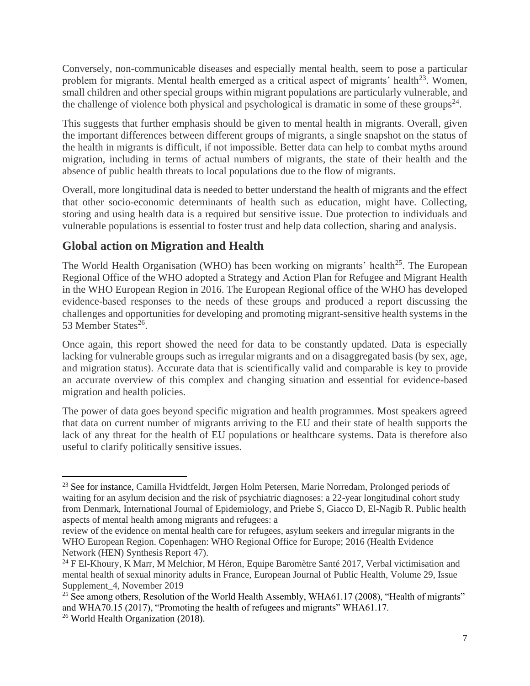Conversely, non-communicable diseases and especially mental health, seem to pose a particular problem for migrants. Mental health emerged as a critical aspect of migrants' health<sup>23</sup>. Women, small children and other special groups within migrant populations are particularly vulnerable, and the challenge of violence both physical and psychological is dramatic in some of these groups<sup>24</sup>.

This suggests that further emphasis should be given to mental health in migrants. Overall, given the important differences between different groups of migrants, a single snapshot on the status of the health in migrants is difficult, if not impossible. Better data can help to combat myths around migration, including in terms of actual numbers of migrants, the state of their health and the absence of public health threats to local populations due to the flow of migrants.

Overall, more longitudinal data is needed to better understand the health of migrants and the effect that other socio-economic determinants of health such as education, might have. Collecting, storing and using health data is a required but sensitive issue. Due protection to individuals and vulnerable populations is essential to foster trust and help data collection, sharing and analysis.

### **Global action on Migration and Health**

The World Health Organisation (WHO) has been working on migrants' health<sup>25</sup>. The European Regional Office of the WHO adopted a Strategy and Action Plan for Refugee and Migrant Health in the WHO European Region in 2016. The European Regional office of the WHO has developed evidence-based responses to the needs of these groups and produced a report discussing the challenges and opportunities for developing and promoting migrant-sensitive health systems in the 53 Member States<sup>26</sup>.

Once again, this report showed the need for data to be constantly updated. Data is especially lacking for vulnerable groups such as irregular migrants and on a disaggregated basis (by sex, age, and migration status). Accurate data that is scientifically valid and comparable is key to provide an accurate overview of this complex and changing situation and essential for evidence-based migration and health policies.

The power of data goes beyond specific migration and health programmes. Most speakers agreed that data on current number of migrants arriving to the EU and their state of health supports the lack of any threat for the health of EU populations or healthcare systems. Data is therefore also useful to clarify politically sensitive issues.

<sup>&</sup>lt;sup>23</sup> See for instance, Camilla Hvidtfeldt, Jørgen Holm Petersen, Marie Norredam, Prolonged periods of waiting for an asylum decision and the risk of psychiatric diagnoses: a 22-year longitudinal cohort study from Denmark, International Journal of Epidemiology*,* and Priebe S, Giacco D, El-Nagib R. Public health aspects of mental health among migrants and refugees: a

review of the evidence on mental health care for refugees, asylum seekers and irregular migrants in the WHO European Region. Copenhagen: WHO Regional Office for Europe; 2016 (Health Evidence Network (HEN) Synthesis Report 47).

<sup>&</sup>lt;sup>24</sup> F El-Khoury, K Marr, M Melchior, M Héron, Equipe Baromètre Santé 2017, Verbal victimisation and mental health of sexual minority adults in France, European Journal of Public Health*,* Volume 29, Issue Supplement\_4, November 2019

<sup>&</sup>lt;sup>25</sup> See among others, Resolution of the World Health Assembly, WHA61.17 (2008), "Health of migrants" and WHA70.15 (2017), "Promoting the health of refugees and migrants" WHA61.17. <sup>26</sup> World Health Organization (2018).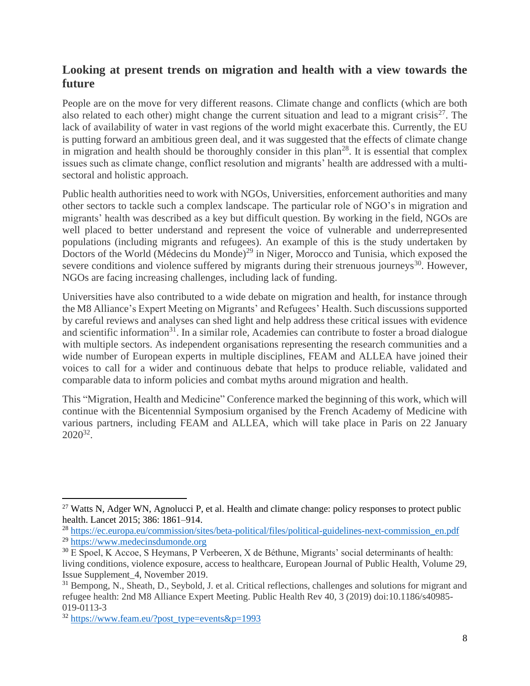### **Looking at present trends on migration and health with a view towards the future**

People are on the move for very different reasons. Climate change and conflicts (which are both also related to each other) might change the current situation and lead to a migrant crisis<sup>27</sup>. The lack of availability of water in vast regions of the world might exacerbate this. Currently, the EU is putting forward an ambitious green deal, and it was suggested that the effects of climate change in migration and health should be thoroughly consider in this plan<sup>28</sup>. It is essential that complex issues such as climate change, conflict resolution and migrants' health are addressed with a multisectoral and holistic approach.

Public health authorities need to work with NGOs, Universities, enforcement authorities and many other sectors to tackle such a complex landscape. The particular role of NGO's in migration and migrants' health was described as a key but difficult question. By working in the field, NGOs are well placed to better understand and represent the voice of vulnerable and underrepresented populations (including migrants and refugees). An example of this is the study undertaken by Doctors of the World (Médecins du Monde)<sup>29</sup> in Niger, Morocco and Tunisia, which exposed the severe conditions and violence suffered by migrants during their strenuous journeys<sup>30</sup>. However, NGOs are facing increasing challenges, including lack of funding.

Universities have also contributed to a wide debate on migration and health, for instance through the M8 Alliance's Expert Meeting on Migrants' and Refugees' Health. Such discussions supported by careful reviews and analyses can shed light and help address these critical issues with evidence and scientific information<sup>31</sup>. In a similar role, Academies can contribute to foster a broad dialogue with multiple sectors. As independent organisations representing the research communities and a wide number of European experts in multiple disciplines, FEAM and ALLEA have joined their voices to call for a wider and continuous debate that helps to produce reliable, validated and comparable data to inform policies and combat myths around migration and health.

This "Migration, Health and Medicine" Conference marked the beginning of this work, which will continue with the Bicentennial Symposium organised by the French Academy of Medicine with various partners, including FEAM and ALLEA, which will take place in Paris on 22 January 2020<sup>32</sup> .

<sup>&</sup>lt;sup>27</sup> Watts N, Adger WN, Agnolucci P, et al. Health and climate change: policy responses to protect public health. Lancet 2015; 386: 1861–914.

<sup>28</sup> [https://ec.europa.eu/commission/sites/beta-political/files/political-guidelines-next-commission\\_en.pdf](https://ec.europa.eu/commission/sites/beta-political/files/political-guidelines-next-commission_en.pdf) <sup>29</sup> [https://www.medecinsdumonde.org](https://www.medecinsdumonde.org/)

<sup>&</sup>lt;sup>30</sup> E Spoel, K Accoe, S Heymans, P Verbeeren, X de Béthune, Migrants' social determinants of health: living conditions, violence exposure, access to healthcare, European Journal of Public Health, Volume 29, Issue Supplement\_4, November 2019.

<sup>&</sup>lt;sup>31</sup> Bempong, N., Sheath, D., Seybold, J. et al. Critical reflections, challenges and solutions for migrant and refugee health: 2nd M8 Alliance Expert Meeting. Public Health Rev 40, 3 (2019) doi:10.1186/s40985- 019-0113-3

 $32 \text{ https://www.feam.eu/?post type=events&p=1993$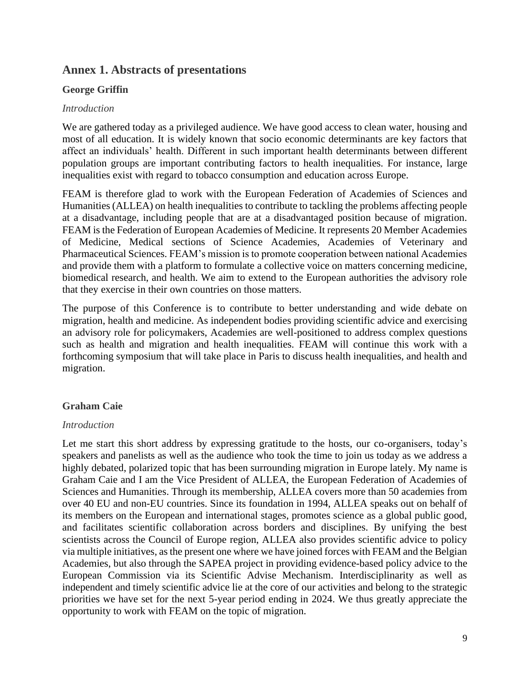### **Annex 1. Abstracts of presentations**

#### **George Griffin**

#### *Introduction*

We are gathered today as a privileged audience. We have good access to clean water, housing and most of all education. It is widely known that socio economic determinants are key factors that affect an individuals' health. Different in such important health determinants between different population groups are important contributing factors to health inequalities. For instance, large inequalities exist with regard to tobacco consumption and education across Europe.

FEAM is therefore glad to work with the European Federation of Academies of Sciences and Humanities (ALLEA) on health inequalities to contribute to tackling the problems affecting people at a disadvantage, including people that are at a disadvantaged position because of migration. FEAM is the Federation of European Academies of Medicine. It represents 20 Member Academies of Medicine, Medical sections of Science Academies, Academies of Veterinary and Pharmaceutical Sciences. FEAM's mission is to promote cooperation between national Academies and provide them with a platform to formulate a collective voice on matters concerning medicine, biomedical research, and health. We aim to extend to the European authorities the advisory role that they exercise in their own countries on those matters.

The purpose of this Conference is to contribute to better understanding and wide debate on migration, health and medicine. As independent bodies providing scientific advice and exercising an advisory role for policymakers, Academies are well-positioned to address complex questions such as health and migration and health inequalities. FEAM will continue this work with a forthcoming symposium that will take place in Paris to discuss health inequalities, and health and migration.

#### **Graham Caie**

#### *Introduction*

Let me start this short address by expressing gratitude to the hosts, our co-organisers, today's speakers and panelists as well as the audience who took the time to join us today as we address a highly debated, polarized topic that has been surrounding migration in Europe lately. My name is Graham Caie and I am the Vice President of ALLEA, the European Federation of Academies of Sciences and Humanities. Through its membership, ALLEA covers more than 50 academies from over 40 EU and non-EU countries. Since its foundation in 1994, ALLEA speaks out on behalf of its members on the European and international stages, promotes science as a global public good, and facilitates scientific collaboration across borders and disciplines. By unifying the best scientists across the Council of Europe region, ALLEA also provides scientific advice to policy via multiple initiatives, as the present one where we have joined forces with FEAM and the Belgian Academies, but also through the SAPEA project in providing evidence-based policy advice to the European Commission via its Scientific Advise Mechanism. Interdisciplinarity as well as independent and timely scientific advice lie at the core of our activities and belong to the strategic priorities we have set for the next 5-year period ending in 2024. We thus greatly appreciate the opportunity to work with FEAM on the topic of migration.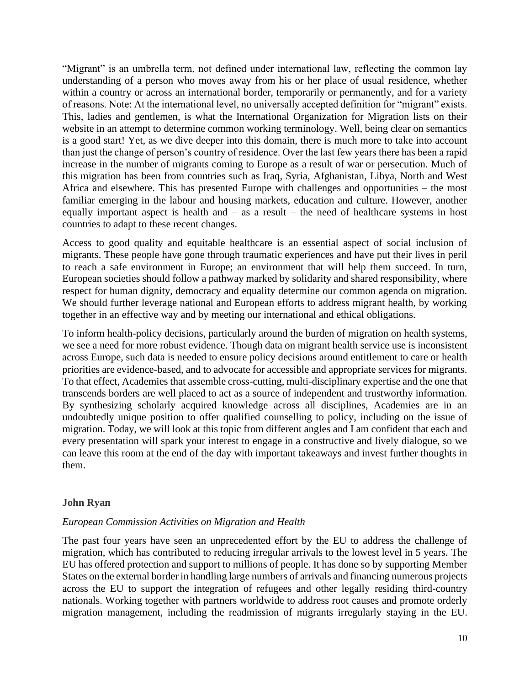"Migrant" is an umbrella term, not defined under international law, reflecting the common lay understanding of a person who moves away from his or her place of usual residence, whether within a country or across an international border, temporarily or permanently, and for a variety of reasons. Note: At the international level, no universally accepted definition for "migrant" exists. This, ladies and gentlemen, is what the International Organization for Migration lists on their website in an attempt to determine common working terminology. Well, being clear on semantics is a good start! Yet, as we dive deeper into this domain, there is much more to take into account than just the change of person's country of residence. Over the last few years there has been a rapid increase in the number of migrants coming to Europe as a result of war or persecution. Much of this migration has been from countries such as Iraq, Syria, Afghanistan, Libya, North and West Africa and elsewhere. This has presented Europe with challenges and opportunities – the most familiar emerging in the labour and housing markets, education and culture. However, another equally important aspect is health and  $-$  as a result  $-$  the need of healthcare systems in host countries to adapt to these recent changes.

Access to good quality and equitable healthcare is an essential aspect of social inclusion of migrants. These people have gone through traumatic experiences and have put their lives in peril to reach a safe environment in Europe; an environment that will help them succeed. In turn, European societies should follow a pathway marked by solidarity and shared responsibility, where respect for human dignity, democracy and equality determine our common agenda on migration. We should further leverage national and European efforts to address migrant health, by working together in an effective way and by meeting our international and ethical obligations.

To inform health-policy decisions, particularly around the burden of migration on health systems, we see a need for more robust evidence. Though data on migrant health service use is inconsistent across Europe, such data is needed to ensure policy decisions around entitlement to care or health priorities are evidence-based, and to advocate for accessible and appropriate services for migrants. To that effect, Academies that assemble cross-cutting, multi-disciplinary expertise and the one that transcends borders are well placed to act as a source of independent and trustworthy information. By synthesizing scholarly acquired knowledge across all disciplines, Academies are in an undoubtedly unique position to offer qualified counselling to policy, including on the issue of migration. Today, we will look at this topic from different angles and I am confident that each and every presentation will spark your interest to engage in a constructive and lively dialogue, so we can leave this room at the end of the day with important takeaways and invest further thoughts in them.

#### **John Ryan**

#### *European Commission Activities on Migration and Health*

The past four years have seen an unprecedented effort by the EU to address the challenge of migration, which has contributed to reducing irregular arrivals to the lowest level in 5 years. The EU has offered protection and support to millions of people. It has done so by supporting Member States on the external border in handling large numbers of arrivals and financing numerous projects across the EU to support the integration of refugees and other legally residing third-country nationals. Working together with partners worldwide to address root causes and promote orderly migration management, including the readmission of migrants irregularly staying in the EU.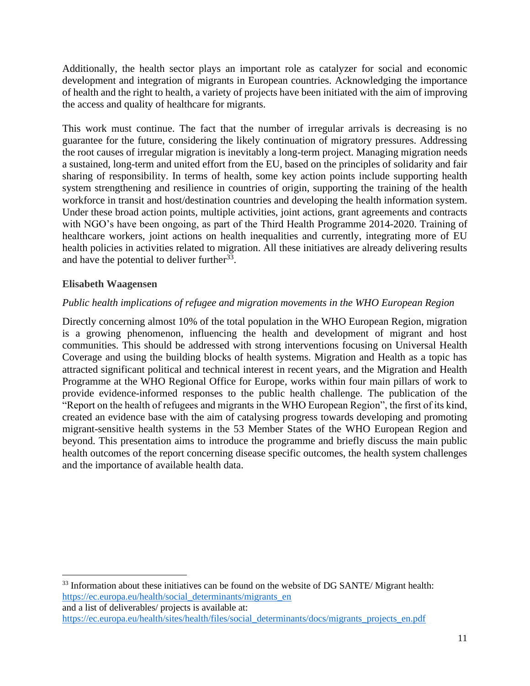Additionally, the health sector plays an important role as catalyzer for social and economic development and integration of migrants in European countries. Acknowledging the importance of health and the right to health, a variety of projects have been initiated with the aim of improving the access and quality of healthcare for migrants.

This work must continue. The fact that the number of irregular arrivals is decreasing is no guarantee for the future, considering the likely continuation of migratory pressures. Addressing the root causes of irregular migration is inevitably a long-term project. Managing migration needs a sustained, long-term and united effort from the EU, based on the principles of solidarity and fair sharing of responsibility. In terms of health, some key action points include supporting health system strengthening and resilience in countries of origin, supporting the training of the health workforce in transit and host/destination countries and developing the health information system. Under these broad action points, multiple activities, joint actions, grant agreements and contracts with NGO's have been ongoing, as part of the Third Health Programme 2014-2020. Training of healthcare workers, joint actions on health inequalities and currently, integrating more of EU health policies in activities related to migration. All these initiatives are already delivering results and have the potential to deliver further  $33$ .

#### **Elisabeth Waagensen**

#### *Public health implications of refugee and migration movements in the WHO European Region*

Directly concerning almost 10% of the total population in the WHO European Region, migration is a growing phenomenon, influencing the health and development of migrant and host communities. This should be addressed with strong interventions focusing on Universal Health Coverage and using the building blocks of health systems. Migration and Health as a topic has attracted significant political and technical interest in recent years, and the Migration and Health Programme at the WHO Regional Office for Europe, works within four main pillars of work to provide evidence-informed responses to the public health challenge. The publication of the "Report on the health of refugees and migrants in the WHO European Region", the first of its kind, created an evidence base with the aim of catalysing progress towards developing and promoting migrant-sensitive health systems in the 53 Member States of the WHO European Region and beyond. This presentation aims to introduce the programme and briefly discuss the main public health outcomes of the report concerning disease specific outcomes, the health system challenges and the importance of available health data.

<sup>33</sup> Information about these initiatives can be found on the website of DG SANTE/ Migrant health: [https://ec.europa.eu/health/social\\_determinants/migrants\\_en](https://ec.europa.eu/health/social_determinants/migrants_en) and a list of deliverables/ projects is available at:

[https://ec.europa.eu/health/sites/health/files/social\\_determinants/docs/migrants\\_projects\\_en.pdf](https://ec.europa.eu/health/sites/health/files/social_determinants/docs/migrants_projects_en.pdf)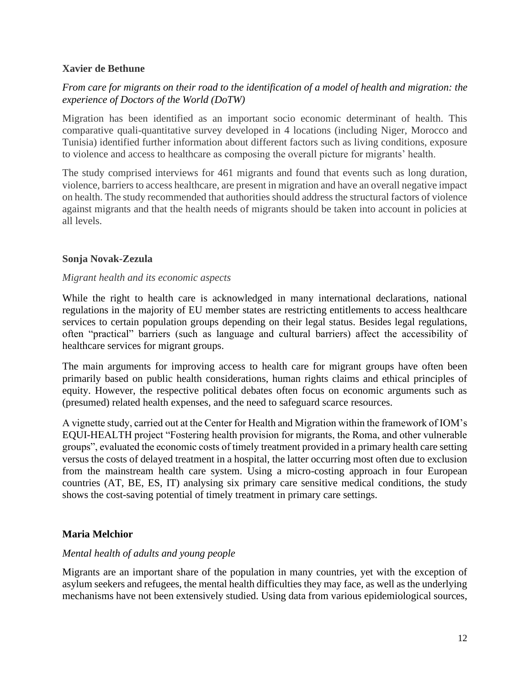#### **Xavier de Bethune**

#### *From care for migrants on their road to the identification of a model of health and migration: the experience of Doctors of the World (DoTW)*

Migration has been identified as an important socio economic determinant of health. This comparative quali-quantitative survey developed in 4 locations (including Niger, Morocco and Tunisia) identified further information about different factors such as living conditions, exposure to violence and access to healthcare as composing the overall picture for migrants' health.

The study comprised interviews for 461 migrants and found that events such as long duration, violence, barriers to access healthcare, are present in migration and have an overall negative impact on health. The study recommended that authorities should address the structural factors of violence against migrants and that the health needs of migrants should be taken into account in policies at all levels.

#### **Sonja Novak-Zezula**

#### *Migrant health and its economic aspects*

While the right to health care is acknowledged in many international declarations, national regulations in the majority of EU member states are restricting entitlements to access healthcare services to certain population groups depending on their legal status. Besides legal regulations, often "practical" barriers (such as language and cultural barriers) affect the accessibility of healthcare services for migrant groups.

The main arguments for improving access to health care for migrant groups have often been primarily based on public health considerations, human rights claims and ethical principles of equity. However, the respective political debates often focus on economic arguments such as (presumed) related health expenses, and the need to safeguard scarce resources.

A vignette study, carried out at the Center for Health and Migration within the framework of IOM's EQUI-HEALTH project "Fostering health provision for migrants, the Roma, and other vulnerable groups", evaluated the economic costs of timely treatment provided in a primary health care setting versus the costs of delayed treatment in a hospital, the latter occurring most often due to exclusion from the mainstream health care system. Using a micro-costing approach in four European countries (AT, BE, ES, IT) analysing six primary care sensitive medical conditions, the study shows the cost-saving potential of timely treatment in primary care settings.

#### **Maria Melchior**

#### *Mental health of adults and young people*

Migrants are an important share of the population in many countries, yet with the exception of asylum seekers and refugees, the mental health difficulties they may face, as well as the underlying mechanisms have not been extensively studied. Using data from various epidemiological sources,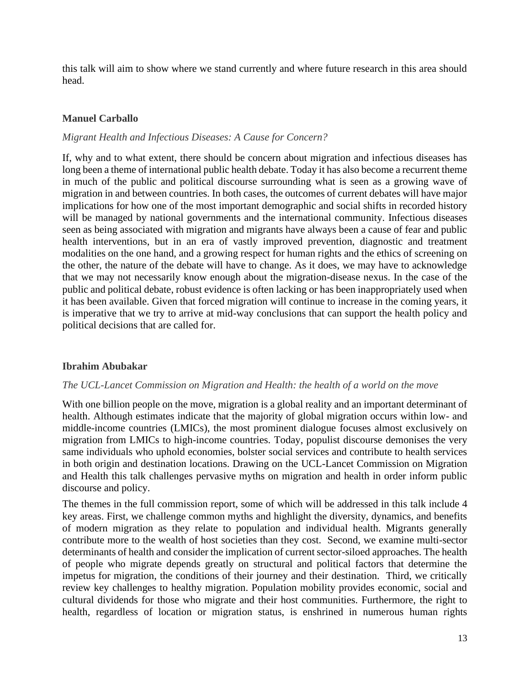this talk will aim to show where we stand currently and where future research in this area should head.

#### **Manuel Carballo**

#### *Migrant Health and Infectious Diseases: A Cause for Concern?*

If, why and to what extent, there should be concern about migration and infectious diseases has long been a theme of international public health debate. Today it has also become a recurrent theme in much of the public and political discourse surrounding what is seen as a growing wave of migration in and between countries. In both cases, the outcomes of current debates will have major implications for how one of the most important demographic and social shifts in recorded history will be managed by national governments and the international community. Infectious diseases seen as being associated with migration and migrants have always been a cause of fear and public health interventions, but in an era of vastly improved prevention, diagnostic and treatment modalities on the one hand, and a growing respect for human rights and the ethics of screening on the other, the nature of the debate will have to change. As it does, we may have to acknowledge that we may not necessarily know enough about the migration-disease nexus. In the case of the public and political debate, robust evidence is often lacking or has been inappropriately used when it has been available. Given that forced migration will continue to increase in the coming years, it is imperative that we try to arrive at mid-way conclusions that can support the health policy and political decisions that are called for.

#### **Ibrahim Abubakar**

#### *The UCL-Lancet Commission on Migration and Health: the health of a world on the move*

With one billion people on the move, migration is a global reality and an important determinant of health. Although estimates indicate that the majority of global migration occurs within low- and middle-income countries (LMICs), the most prominent dialogue focuses almost exclusively on migration from LMICs to high-income countries. Today, populist discourse demonises the very same individuals who uphold economies, bolster social services and contribute to health services in both origin and destination locations. Drawing on the UCL-Lancet Commission on Migration and Health this talk challenges pervasive myths on migration and health in order inform public discourse and policy.

The themes in the full commission report, some of which will be addressed in this talk include 4 key areas. First, we challenge common myths and highlight the diversity, dynamics, and benefits of modern migration as they relate to population and individual health. Migrants generally contribute more to the wealth of host societies than they cost. Second, we examine multi-sector determinants of health and consider the implication of current sector-siloed approaches. The health of people who migrate depends greatly on structural and political factors that determine the impetus for migration, the conditions of their journey and their destination. Third, we critically review key challenges to healthy migration. Population mobility provides economic, social and cultural dividends for those who migrate and their host communities. Furthermore, the right to health, regardless of location or migration status, is enshrined in numerous human rights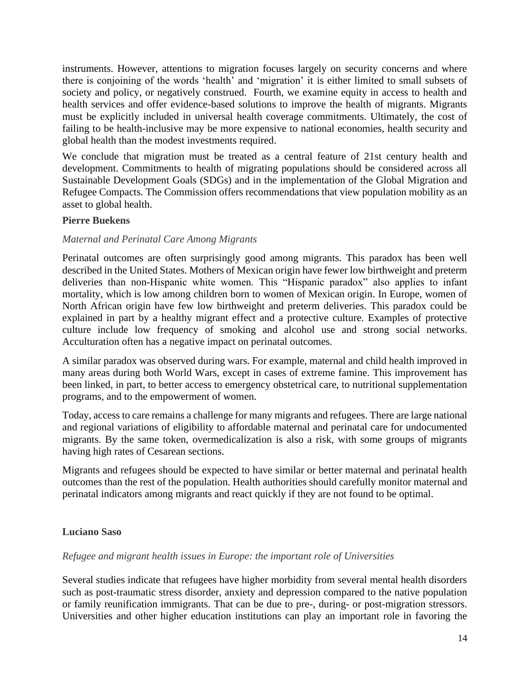instruments. However, attentions to migration focuses largely on security concerns and where there is conjoining of the words 'health' and 'migration' it is either limited to small subsets of society and policy, or negatively construed. Fourth, we examine equity in access to health and health services and offer evidence-based solutions to improve the health of migrants. Migrants must be explicitly included in universal health coverage commitments. Ultimately, the cost of failing to be health-inclusive may be more expensive to national economies, health security and global health than the modest investments required.

We conclude that migration must be treated as a central feature of 21st century health and development. Commitments to health of migrating populations should be considered across all Sustainable Development Goals (SDGs) and in the implementation of the Global Migration and Refugee Compacts. The Commission offers recommendations that view population mobility as an asset to global health.

#### **Pierre Buekens**

#### *Maternal and Perinatal Care Among Migrants*

Perinatal outcomes are often surprisingly good among migrants. This paradox has been well described in the United States. Mothers of Mexican origin have fewer low birthweight and preterm deliveries than non-Hispanic white women. This "Hispanic paradox" also applies to infant mortality, which is low among children born to women of Mexican origin. In Europe, women of North African origin have few low birthweight and preterm deliveries. This paradox could be explained in part by a healthy migrant effect and a protective culture. Examples of protective culture include low frequency of smoking and alcohol use and strong social networks. Acculturation often has a negative impact on perinatal outcomes.

A similar paradox was observed during wars. For example, maternal and child health improved in many areas during both World Wars, except in cases of extreme famine. This improvement has been linked, in part, to better access to emergency obstetrical care, to nutritional supplementation programs, and to the empowerment of women.

Today, access to care remains a challenge for many migrants and refugees. There are large national and regional variations of eligibility to affordable maternal and perinatal care for undocumented migrants. By the same token, overmedicalization is also a risk, with some groups of migrants having high rates of Cesarean sections.

Migrants and refugees should be expected to have similar or better maternal and perinatal health outcomes than the rest of the population. Health authorities should carefully monitor maternal and perinatal indicators among migrants and react quickly if they are not found to be optimal.

#### **Luciano Saso**

#### *Refugee and migrant health issues in Europe: the important role of Universities*

Several studies indicate that refugees have higher morbidity from several mental health disorders such as post-traumatic stress disorder, anxiety and depression compared to the native population or family reunification immigrants. That can be due to pre-, during- or post-migration stressors. Universities and other higher education institutions can play an important role in favoring the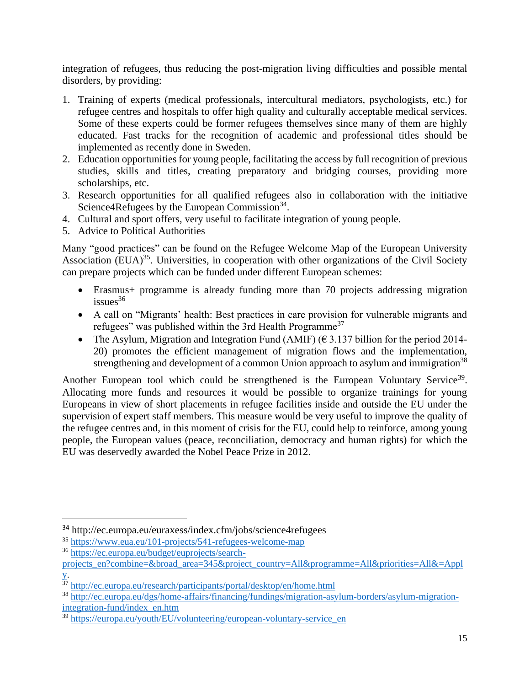integration of refugees, thus reducing the post-migration living difficulties and possible mental disorders, by providing:

- 1. Training of experts (medical professionals, intercultural mediators, psychologists, etc.) for refugee centres and hospitals to offer high quality and culturally acceptable medical services. Some of these experts could be former refugees themselves since many of them are highly educated. Fast tracks for the recognition of academic and professional titles should be implemented as recently done in Sweden.
- 2. Education opportunities for young people, facilitating the access by full recognition of previous studies, skills and titles, creating preparatory and bridging courses, providing more scholarships, etc.
- 3. Research opportunities for all qualified refugees also in collaboration with the initiative Science $4$ Refugees by the European Commission $34$ .
- 4. Cultural and sport offers, very useful to facilitate integration of young people.
- 5. Advice to Political Authorities

Many "good practices" can be found on the Refugee Welcome Map of the European University Association  $(EUA)^{35}$ . Universities, in cooperation with other organizations of the Civil Society can prepare projects which can be funded under different European schemes:

- Erasmus+ programme is already funding more than 70 projects addressing migration  $is sues<sup>36</sup>$
- A call on "Migrants' health: Best practices in care provision for vulnerable migrants and refugees" was published within the 3rd Health Programme<sup>37</sup>
- The Asylum, Migration and Integration Fund (AMIF) ( $\epsilon$  3.137 billion for the period 2014-20) promotes the efficient management of migration flows and the implementation, strengthening and development of a common Union approach to asylum and immigration<sup>38</sup>

Another European tool which could be strengthened is the European Voluntary Service<sup>39</sup>. Allocating more funds and resources it would be possible to organize trainings for young Europeans in view of short placements in refugee facilities inside and outside the EU under the supervision of expert staff members. This measure would be very useful to improve the quality of the refugee centres and, in this moment of crisis for the EU, could help to reinforce, among young people, the European values (peace, reconciliation, democracy and human rights) for which the EU was deservedly awarded the Nobel Peace Prize in 2012.

<sup>34</sup> <http://ec.europa.eu/euraxess/index.cfm/jobs/science4refugees>

<sup>35</sup> <https://www.eua.eu/101-projects/541-refugees-welcome-map>

<sup>36</sup> [https://ec.europa.eu/budget/euprojects/search-](https://ec.europa.eu/budget/euprojects/search-projects_en?combine=&broad_area=345&project_country=All&programme=All&priorities=All&=Apply)

[projects\\_en?combine=&broad\\_area=345&project\\_country=All&programme=All&priorities=All&=Appl](https://ec.europa.eu/budget/euprojects/search-projects_en?combine=&broad_area=345&project_country=All&programme=All&priorities=All&=Apply) [y.](https://ec.europa.eu/budget/euprojects/search-projects_en?combine=&broad_area=345&project_country=All&programme=All&priorities=All&=Apply)

<sup>37</sup> <http://ec.europa.eu/research/participants/portal/desktop/en/home.html>

<sup>38</sup> [http://ec.europa.eu/dgs/home-affairs/financing/fundings/migration-asylum-borders/asylum-migration](http://ec.europa.eu/dgs/home-affairs/financing/fundings/migration-asylum-borders/asylum-migration-integration-fund/index_en.htm)[integration-fund/index\\_en.htm](http://ec.europa.eu/dgs/home-affairs/financing/fundings/migration-asylum-borders/asylum-migration-integration-fund/index_en.htm)

<sup>&</sup>lt;sup>39</sup> [https://europa.eu/youth/EU/volunteering/european-voluntary-service\\_en](https://europa.eu/youth/EU/volunteering/european-voluntary-service_en)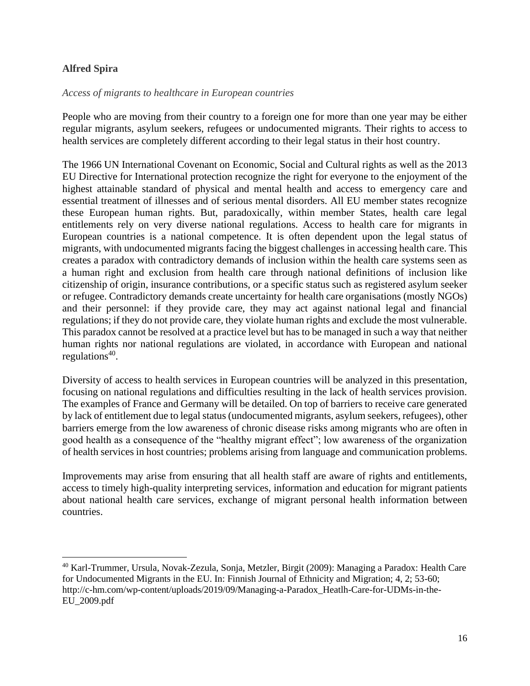#### **Alfred Spira**

#### *Access of migrants to healthcare in European countries*

People who are moving from their country to a foreign one for more than one year may be either regular migrants, asylum seekers, refugees or undocumented migrants. Their rights to access to health services are completely different according to their legal status in their host country.

The 1966 UN International Covenant on Economic, Social and Cultural rights as well as the 2013 EU Directive for International protection recognize the right for everyone to the enjoyment of the highest attainable standard of physical and mental health and access to emergency care and essential treatment of illnesses and of serious mental disorders. All EU member states recognize these European human rights. But, paradoxically, within member States, health care legal entitlements rely on very diverse national regulations. Access to health care for migrants in European countries is a national competence. It is often dependent upon the legal status of migrants, with undocumented migrants facing the biggest challenges in accessing health care. This creates a paradox with contradictory demands of inclusion within the health care systems seen as a human right and exclusion from health care through national definitions of inclusion like citizenship of origin, insurance contributions, or a specific status such as registered asylum seeker or refugee. Contradictory demands create uncertainty for health care organisations (mostly NGOs) and their personnel: if they provide care, they may act against national legal and financial regulations; if they do not provide care, they violate human rights and exclude the most vulnerable. This paradox cannot be resolved at a practice level but has to be managed in such a way that neither human rights nor national regulations are violated, in accordance with European and national regulations<sup>40</sup>.

Diversity of access to health services in European countries will be analyzed in this presentation, focusing on national regulations and difficulties resulting in the lack of health services provision. The examples of France and Germany will be detailed. On top of barriers to receive care generated by lack of entitlement due to legal status (undocumented migrants, asylum seekers, refugees), other barriers emerge from the low awareness of chronic disease risks among migrants who are often in good health as a consequence of the "healthy migrant effect"; low awareness of the organization of health services in host countries; problems arising from language and communication problems.

Improvements may arise from ensuring that all health staff are aware of rights and entitlements, access to timely high-quality interpreting services, information and education for migrant patients about national health care services, exchange of migrant personal health information between countries.

<sup>40</sup> Karl-Trummer, Ursula, Novak-Zezula, Sonja, Metzler, Birgit (2009): Managing a Paradox: Health Care for Undocumented Migrants in the EU. In: Finnish Journal of Ethnicity and Migration; 4, 2; 53-60; http://c-hm.com/wp-content/uploads/2019/09/Managing-a-Paradox\_Heatlh-Care-for-UDMs-in-the-EU\_2009.pdf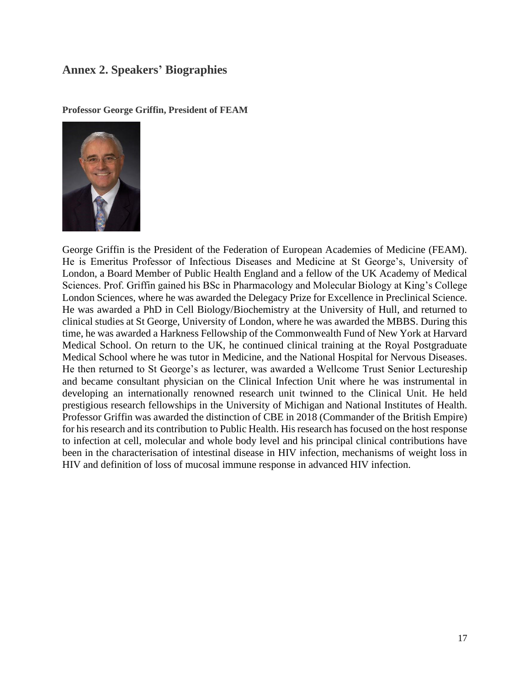### **Annex 2. Speakers' Biographies**

**Professor George Griffin, President of FEAM** 



George Griffin is the President of the Federation of European Academies of Medicine (FEAM). He is Emeritus Professor of Infectious Diseases and Medicine at St George's, University of London, a Board Member of Public Health England and a fellow of the UK Academy of Medical Sciences. Prof. Griffin gained his BSc in Pharmacology and Molecular Biology at King's College London Sciences, where he was awarded the Delegacy Prize for Excellence in Preclinical Science. He was awarded a PhD in Cell Biology/Biochemistry at the University of Hull, and returned to clinical studies at St George, University of London, where he was awarded the MBBS. During this time, he was awarded a Harkness Fellowship of the Commonwealth Fund of New York at Harvard Medical School. On return to the UK, he continued clinical training at the Royal Postgraduate Medical School where he was tutor in Medicine, and the National Hospital for Nervous Diseases. He then returned to St George's as lecturer, was awarded a Wellcome Trust Senior Lectureship and became consultant physician on the Clinical Infection Unit where he was instrumental in developing an internationally renowned research unit twinned to the Clinical Unit. He held prestigious research fellowships in the University of Michigan and National Institutes of Health. Professor Griffin was awarded the distinction of CBE in 2018 (Commander of the British Empire) for his research and its contribution to Public Health. His research has focused on the host response to infection at cell, molecular and whole body level and his principal clinical contributions have been in the characterisation of intestinal disease in HIV infection, mechanisms of weight loss in HIV and definition of loss of mucosal immune response in advanced HIV infection.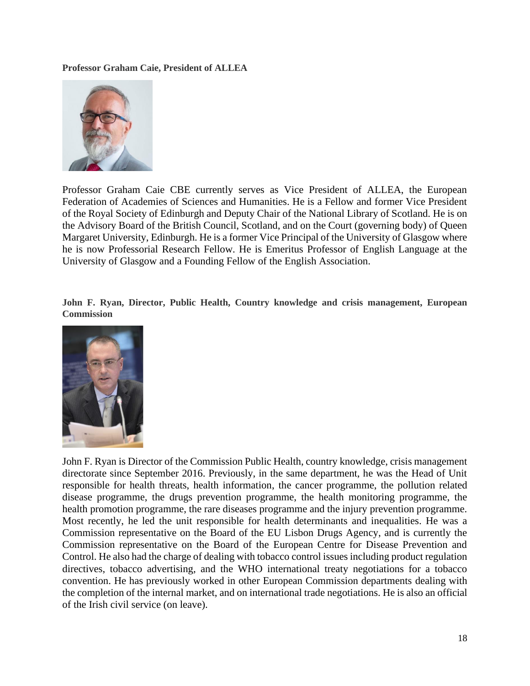**Professor Graham Caie, President of ALLEA**



Professor Graham Caie CBE currently serves as Vice President of ALLEA, the European Federation of Academies of Sciences and Humanities. He is a Fellow and former Vice President of the Royal Society of Edinburgh and Deputy Chair of the National Library of Scotland. He is on the Advisory Board of the British Council, Scotland, and on the Court (governing body) of Queen Margaret University, Edinburgh. He is a former Vice Principal of the University of Glasgow where he is now Professorial Research Fellow. He is Emeritus Professor of English Language at the University of Glasgow and a Founding Fellow of the English Association.

**John F. Ryan, Director, Public Health, Country knowledge and crisis management, European Commission**



John F. Ryan is Director of the Commission Public Health, country knowledge, crisis management directorate since September 2016. Previously, in the same department, he was the Head of Unit responsible for health threats, health information, the cancer programme, the pollution related disease programme, the drugs prevention programme, the health monitoring programme, the health promotion programme, the rare diseases programme and the injury prevention programme. Most recently, he led the unit responsible for health determinants and inequalities. He was a Commission representative on the Board of the EU Lisbon Drugs Agency, and is currently the Commission representative on the Board of the European Centre for Disease Prevention and Control. He also had the charge of dealing with tobacco control issues including product regulation directives, tobacco advertising, and the WHO international treaty negotiations for a tobacco convention. He has previously worked in other European Commission departments dealing with the completion of the internal market, and on international trade negotiations. He is also an official of the Irish civil service (on leave).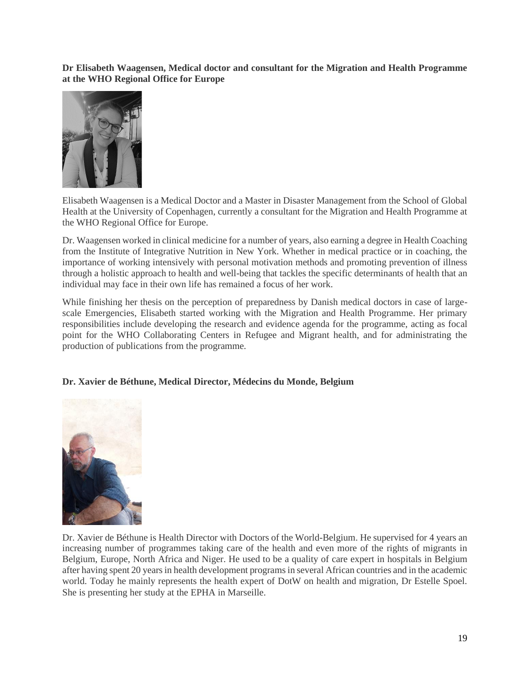**Dr Elisabeth Waagensen, Medical doctor and consultant for the Migration and Health Programme at the WHO Regional Office for Europe**



Elisabeth Waagensen is a Medical Doctor and a Master in Disaster Management from the School of Global Health at the University of Copenhagen, currently a consultant for the Migration and Health Programme at the WHO Regional Office for Europe.

Dr. Waagensen worked in clinical medicine for a number of years, also earning a degree in Health Coaching from the Institute of Integrative Nutrition in New York. Whether in medical practice or in coaching, the importance of working intensively with personal motivation methods and promoting prevention of illness through a holistic approach to health and well-being that tackles the specific determinants of health that an individual may face in their own life has remained a focus of her work.

While finishing her thesis on the perception of preparedness by Danish medical doctors in case of largescale Emergencies, Elisabeth started working with the Migration and Health Programme. Her primary responsibilities include developing the research and evidence agenda for the programme, acting as focal point for the WHO Collaborating Centers in Refugee and Migrant health, and for administrating the production of publications from the programme*.*

#### **Dr. Xavier de Béthune, Medical Director, Médecins du Monde, Belgium**



Dr. Xavier de Béthune is Health Director with Doctors of the World-Belgium. He supervised for 4 years an increasing number of programmes taking care of the health and even more of the rights of migrants in Belgium, Europe, North Africa and Niger. He used to be a quality of care expert in hospitals in Belgium after having spent 20 years in health development programs in several African countries and in the academic world. Today he mainly represents the health expert of DotW on health and migration, Dr Estelle Spoel. She is presenting her study at the EPHA in Marseille.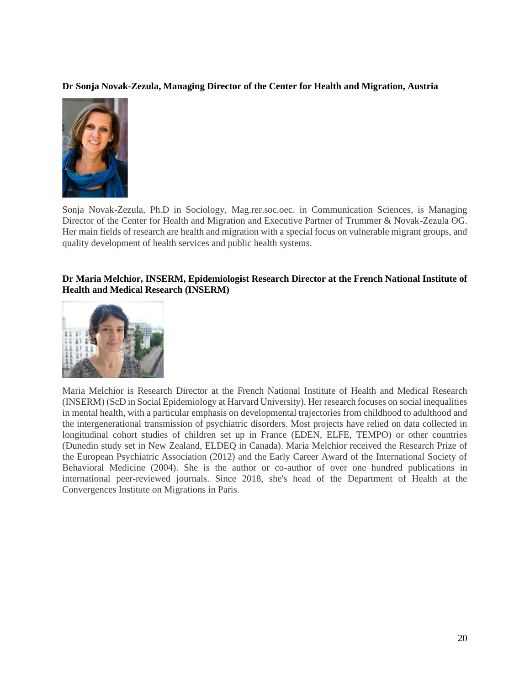#### **Dr Sonja Novak-Zezula, Managing Director of the Center for Health and Migration, Austria**



Sonja Novak-Zezula, Ph.D in Sociology, Mag.rer.soc.oec. in Communication Sciences, is Managing Director of the Center for Health and Migration and Executive Partner of Trummer & Novak-Zezula OG. Her main fields of research are health and migration with a special focus on vulnerable migrant groups, and quality development of health services and public health systems.

#### **Dr Maria Melchior, INSERM, Epidemiologist Research Director at the French National Institute of Health and Medical Research (INSERM)**



Maria Melchior is Research Director at the French National Institute of Health and Medical Research (INSERM) (ScD in Social Epidemiology at Harvard University). Her research focuses on social inequalities in mental health, with a particular emphasis on developmental trajectories from childhood to adulthood and the intergenerational transmission of psychiatric disorders. Most projects have relied on data collected in longitudinal cohort studies of children set up in France (EDEN, ELFE, TEMPO) or other countries (Dunedin study set in New Zealand, ELDEQ in Canada). Maria Melchior received the Research Prize of the European Psychiatric Association (2012) and the Early Career Award of the International Society of Behavioral Medicine (2004). She is the author or co-author of over one hundred publications in international peer-reviewed journals. Since 2018, she's head of the Department of Health at the Convergences Institute on Migrations in Paris.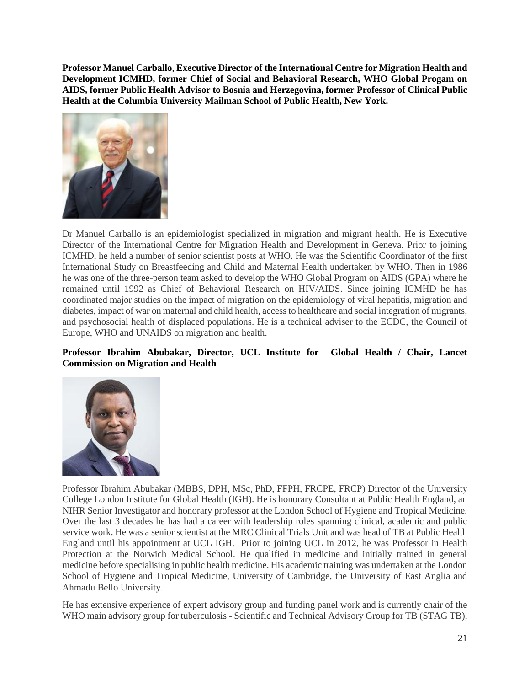**Professor Manuel Carballo, Executive Director of the International Centre for Migration Health and Development ICMHD, former Chief of Social and Behavioral Research, WHO Global Progam on AIDS, former Public Health Advisor to Bosnia and Herzegovina, former Professor of Clinical Public Health at the Columbia University Mailman School of Public Health, New York.** 



Dr Manuel Carballo is an epidemiologist specialized in migration and migrant health. He is Executive Director of the International Centre for Migration Health and Development in Geneva. Prior to joining ICMHD, he held a number of senior scientist posts at WHO. He was the Scientific Coordinator of the first International Study on Breastfeeding and Child and Maternal Health undertaken by WHO. Then in 1986 he was one of the three-person team asked to develop the WHO Global Program on AIDS (GPA) where he remained until 1992 as Chief of Behavioral Research on HIV/AIDS. Since joining ICMHD he has coordinated major studies on the impact of migration on the epidemiology of viral hepatitis, migration and diabetes, impact of war on maternal and child health, access to healthcare and social integration of migrants, and psychosocial health of displaced populations. He is a technical adviser to the ECDC, the Council of Europe, WHO and UNAIDS on migration and health.

#### **Professor Ibrahim Abubakar, Director, UCL Institute for Global Health / Chair, Lancet Commission on Migration and Health**



Professor Ibrahim Abubakar (MBBS, DPH, MSc, PhD, FFPH, FRCPE, FRCP) Director of the University College London Institute for Global Health (IGH). He is honorary Consultant at Public Health England, an NIHR Senior Investigator and honorary professor at the London School of Hygiene and Tropical Medicine. Over the last 3 decades he has had a career with leadership roles spanning clinical, academic and public service work. He was a senior scientist at the MRC Clinical Trials Unit and was head of TB at Public Health England until his appointment at UCL IGH. Prior to joining UCL in 2012, he was Professor in Health Protection at the Norwich Medical School. He qualified in medicine and initially trained in general medicine before specialising in public health medicine. His academic training was undertaken at the London School of Hygiene and Tropical Medicine, University of Cambridge, the University of East Anglia and Ahmadu Bello University.

He has extensive experience of expert advisory group and funding panel work and is currently chair of the WHO main advisory group for tuberculosis - Scientific and Technical Advisory Group for TB (STAG TB),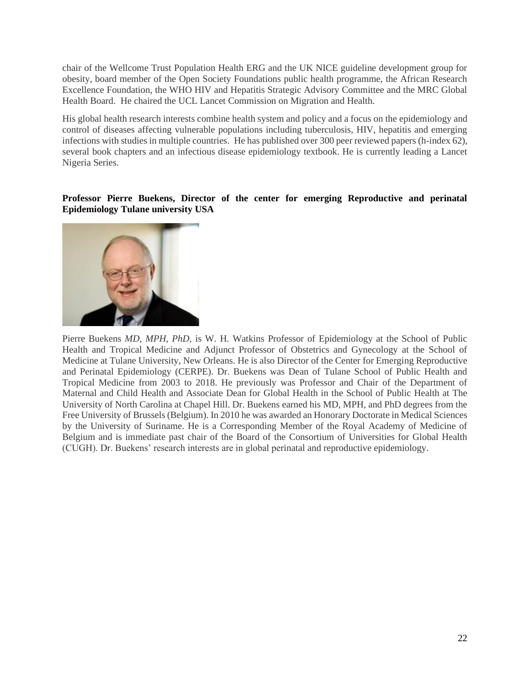chair of the Wellcome Trust Population Health ERG and the UK NICE guideline development group for obesity, board member of the Open Society Foundations public health programme, the African Research Excellence Foundation, the WHO HIV and Hepatitis Strategic Advisory Committee and the MRC Global Health Board. He chaired the UCL Lancet Commission on Migration and Health.

His global health research interests combine health system and policy and a focus on the epidemiology and control of diseases affecting vulnerable populations including tuberculosis, HIV, hepatitis and emerging infections with studies in multiple countries. He has published over 300 peer reviewed papers (h-index 62), several book chapters and an infectious disease epidemiology textbook. He is currently leading a Lancet Nigeria Series.

#### **Professor Pierre Buekens, Director of the center for emerging Reproductive and perinatal Epidemiology Tulane university USA**



Pierre Buekens *MD, MPH, PhD,* is W. H. Watkins Professor of Epidemiology at the School of Public Health and Tropical Medicine and Adjunct Professor of Obstetrics and Gynecology at the School of Medicine at Tulane University, New Orleans. He is also Director of the Center for Emerging Reproductive and Perinatal Epidemiology (CERPE). Dr. Buekens was Dean of Tulane School of Public Health and Tropical Medicine from 2003 to 2018. He previously was Professor and Chair of the Department of Maternal and Child Health and Associate Dean for Global Health in the School of Public Health at The University of North Carolina at Chapel Hill. Dr. Buekens earned his MD, MPH, and PhD degrees from the Free University of Brussels (Belgium). In 2010 he was awarded an Honorary Doctorate in Medical Sciences by the University of Suriname. He is a Corresponding Member of the Royal Academy of Medicine of Belgium and is immediate past chair of the Board of the Consortium of Universities for Global Health (CUGH). Dr. Buekens' research interests are in global perinatal and reproductive epidemiology.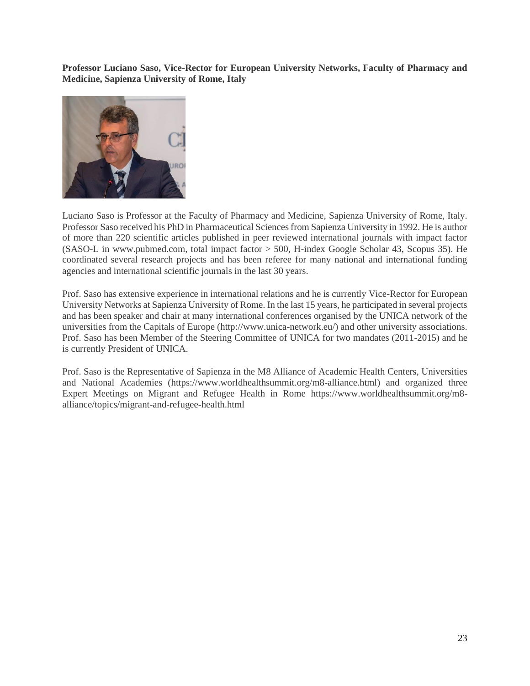**Professor Luciano Saso, Vice-Rector for European University Networks, Faculty of Pharmacy and Medicine, Sapienza University of Rome, Italy**



Luciano Saso is Professor at the Faculty of Pharmacy and Medicine, Sapienza University of Rome, Italy. Professor Saso received his PhD in Pharmaceutical Sciences from Sapienza University in 1992. He is author of more than 220 scientific articles published in peer reviewed international journals with impact factor (SASO-L in www.pubmed.com, total impact factor > 500, H-index Google Scholar 43, Scopus 35). He coordinated several research projects and has been referee for many national and international funding agencies and international scientific journals in the last 30 years.

Prof. Saso has extensive experience in international relations and he is currently Vice-Rector for European University Networks at Sapienza University of Rome. In the last 15 years, he participated in several projects and has been speaker and chair at many international conferences organised by the UNICA network of the universities from the Capitals of Europe [\(http://www.unica-network.eu/\)](http://www.unica-network.eu/) and other university associations. Prof. Saso has been Member of the Steering Committee of UNICA for two mandates (2011-2015) and he is currently President of UNICA.

Prof. Saso is the Representative of Sapienza in the M8 Alliance of Academic Health Centers, Universities and National Academies [\(https://www.worldhealthsummit.org/m8-alliance.html\)](https://www.worldhealthsummit.org/m8-alliance.html) and organized three Expert Meetings on Migrant and Refugee Health in Rome [https://www.worldhealthsummit.org/m8](https://www.worldhealthsummit.org/m8-alliance/topics/migrant-and-refugee-health.html) [alliance/topics/migrant-and-refugee-health.html](https://www.worldhealthsummit.org/m8-alliance/topics/migrant-and-refugee-health.html)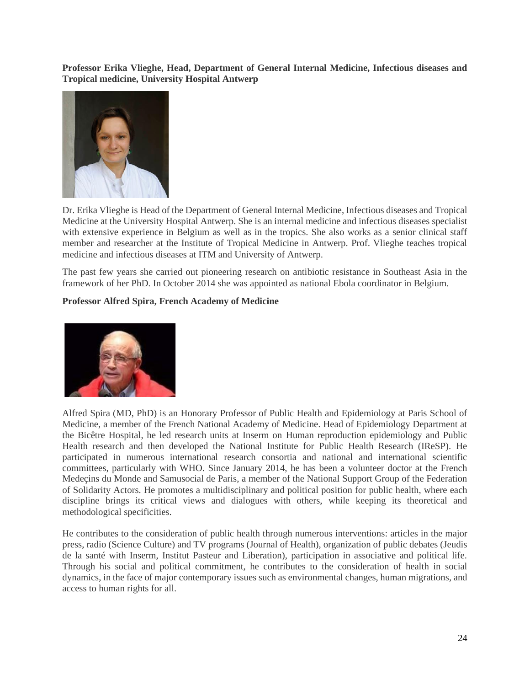**Professor Erika Vlieghe, Head, Department of General Internal Medicine, Infectious diseases and Tropical medicine, University Hospital Antwerp**



Dr. Erika Vlieghe is Head of the Department of General Internal Medicine, Infectious diseases and Tropical Medicine at the University Hospital Antwerp. She is an internal medicine and infectious diseases specialist with extensive experience in Belgium as well as in the tropics. She also works as a senior clinical staff member and researcher at the Institute of Tropical Medicine in Antwerp. Prof. Vlieghe teaches tropical medicine and infectious diseases at ITM and University of Antwerp.

The past few years she carried out pioneering research on antibiotic resistance in Southeast Asia in the framework of her PhD. In October 2014 she was appointed as national Ebola coordinator in Belgium.

#### **Professor Alfred Spira, French Academy of Medicine**



Alfred Spira (MD, PhD) is an Honorary Professor of Public Health and Epidemiology at Paris School of Medicine, a member of the French National Academy of Medicine. Head of Epidemiology Department at the Bicêtre Hospital, he led research units at Inserm on Human reproduction epidemiology and Public Health research and then developed the National Institute for Public Health Research (IReSP). He participated in numerous international research consortia and national and international scientific committees, particularly with WHO. Since January 2014, he has been a volunteer doctor at the French Medeçins du Monde and Samusocial de Paris, a member of the National Support Group of the Federation of Solidarity Actors. He promotes a multidisciplinary and political position for public health, where each discipline brings its critical views and dialogues with others, while keeping its theoretical and methodological specificities.

He contributes to the consideration of public health through numerous interventions: articles in the major press, radio (Science Culture) and TV programs (Journal of Health), organization of public debates (Jeudis de la santé with Inserm, Institut Pasteur and Liberation), participation in associative and political life. Through his social and political commitment, he contributes to the consideration of health in social dynamics, in the face of major contemporary issues such as environmental changes, human migrations, and access to human rights for all.